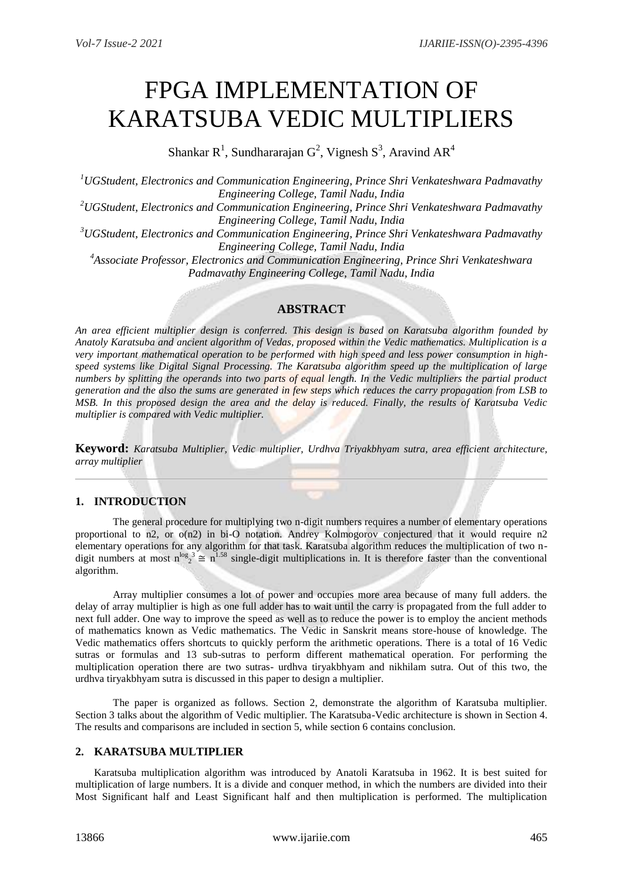# FPGA IMPLEMENTATION OF KARATSUBA VEDIC MULTIPLIERS

Shankar R<sup>1</sup>, Sundhararajan G<sup>2</sup>, Vignesh S<sup>3</sup>, Aravind AR<sup>4</sup>

*<sup>1</sup>UGStudent, Electronics and Communication Engineering, Prince Shri Venkateshwara Padmavathy Engineering College, Tamil Nadu, India <sup>2</sup>UGStudent, Electronics and Communication Engineering, Prince Shri Venkateshwara Padmavathy Engineering College, Tamil Nadu, India <sup>3</sup>UGStudent, Electronics and Communication Engineering, Prince Shri Venkateshwara Padmavathy Engineering College, Tamil Nadu, India <sup>4</sup>Associate Professor, Electronics and Communication Engineering, Prince Shri Venkateshwara Padmavathy Engineering College, Tamil Nadu, India*

## **ABSTRACT**

*An area efficient multiplier design is conferred. This design is based on Karatsuba algorithm founded by Anatoly Karatsuba and ancient algorithm of Vedas, proposed within the Vedic mathematics. Multiplication is a very important mathematical operation to be performed with high speed and less power consumption in highspeed systems like Digital Signal Processing. The Karatsuba algorithm speed up the multiplication of large numbers by splitting the operands into two parts of equal length. In the Vedic multipliers the partial product generation and the also the sums are generated in few steps which reduces the carry propagation from LSB to MSB. In this proposed design the area and the delay is reduced. Finally, the results of Karatsuba Vedic multiplier is compared with Vedic multiplier.*

**Keyword:** *Karatsuba Multiplier, Vedic multiplier, Urdhva Triyakbhyam sutra, area efficient architecture, array multiplier*

## **1. INTRODUCTION**

The general procedure for multiplying two n-digit numbers requires a number of elementary operations proportional to n2, or  $o(n2)$  in bi-O notation. Andrey Kolmogorov conjectured that it would require n2 elementary operations for any algorithm for that task. Karatsuba algorithm reduces the multiplication of two ndigit numbers at most  $n^{\log_2 3} \approx n^{1.58}$  single-digit multiplications in. It is therefore faster than the conventional algorithm.

Array multiplier consumes a lot of power and occupies more area because of many full adders. the delay of array multiplier is high as one full adder has to wait until the carry is propagated from the full adder to next full adder. One way to improve the speed as well as to reduce the power is to employ the ancient methods of mathematics known as Vedic mathematics. The Vedic in Sanskrit means store-house of knowledge. The Vedic mathematics offers shortcuts to quickly perform the arithmetic operations. There is a total of 16 Vedic sutras or formulas and 13 sub-sutras to perform different mathematical operation. For performing the multiplication operation there are two sutras- urdhva tiryakbhyam and nikhilam sutra. Out of this two, the urdhva tiryakbhyam sutra is discussed in this paper to design a multiplier.

The paper is organized as follows. Section 2, demonstrate the algorithm of Karatsuba multiplier. Section 3 talks about the algorithm of Vedic multiplier. The Karatsuba-Vedic architecture is shown in Section 4. The results and comparisons are included in section 5, while section 6 contains conclusion.

### **2. KARATSUBA MULTIPLIER**

Karatsuba multiplication algorithm was introduced by Anatoli Karatsuba in 1962. It is best suited for multiplication of large numbers. It is a divide and conquer method, in which the numbers are divided into their Most Significant half and Least Significant half and then multiplication is performed. The multiplication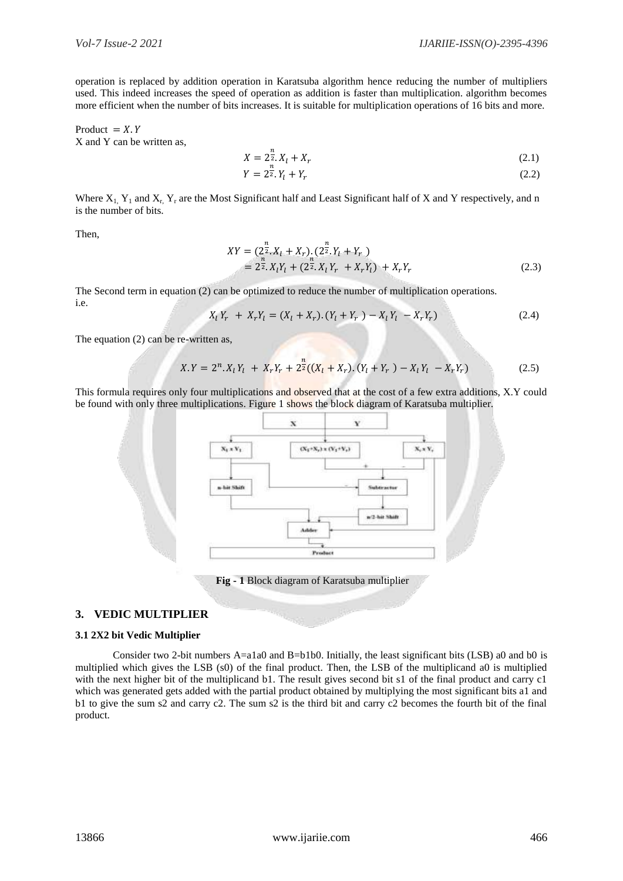operation is replaced by addition operation in Karatsuba algorithm hence reducing the number of multipliers used. This indeed increases the speed of operation as addition is faster than multiplication. algorithm becomes more efficient when the number of bits increases. It is suitable for multiplication operations of 16 bits and more.

Product =  $X$ . Y X and Y can be written as,

$$
X = 2^{\frac{n}{2}} \cdot X_l + X_r \tag{2.1}
$$

$$
Y = 2\overline{z}.Y_l + Y_r \tag{2.2}
$$

Where  $X_1$ ,  $Y_1$  and  $X_r$ ,  $Y_r$  are the Most Significant half and Least Significant half of X and Y respectively, and n is the number of bits.

Then,

$$
XY = (2^{\frac{n}{2}}. X_l + X_r). (2^{\frac{n}{2}}. Y_l + Y_r) = 2^{\frac{n}{2}}. X_l Y_l + (2^{\frac{n}{2}}. X_l Y_r + X_r Y_l) + X_r Y_r
$$
(2.3)

The Second term in equation (2) can be optimized to reduce the number of multiplication operations. i.e.

$$
X_l Y_r + X_r Y_l = (X_l + X_r) (Y_l + Y_r) - X_l Y_l - X_r Y_r)
$$
\n(2.4)

The equation (2) can be re-written as,

$$
X.Y = 2n. Xl Yl + Xr Yr + 2n/2 ((Xl + Xr). (Yl + Yr) - Xl Yl - Xr Yr)
$$
\n(2.5)

This formula requires only four multiplications and observed that at the cost of a few extra additions, X.Y could be found with only three multiplications. Figure 1 shows the block diagram of Karatsuba multiplier.



**Fig - 1** Block diagram of Karatsuba multiplier

### **3. VEDIC MULTIPLIER**

#### **3.1 2X2 bit Vedic Multiplier**

Consider two 2-bit numbers A=a1a0 and B=b1b0. Initially, the least significant bits (LSB) a0 and b0 is multiplied which gives the LSB (s0) of the final product. Then, the LSB of the multiplicand a0 is multiplied with the next higher bit of the multiplicand b1. The result gives second bit s1 of the final product and carry c1 which was generated gets added with the partial product obtained by multiplying the most significant bits a1 and b1 to give the sum s2 and carry c2. The sum s2 is the third bit and carry c2 becomes the fourth bit of the final product.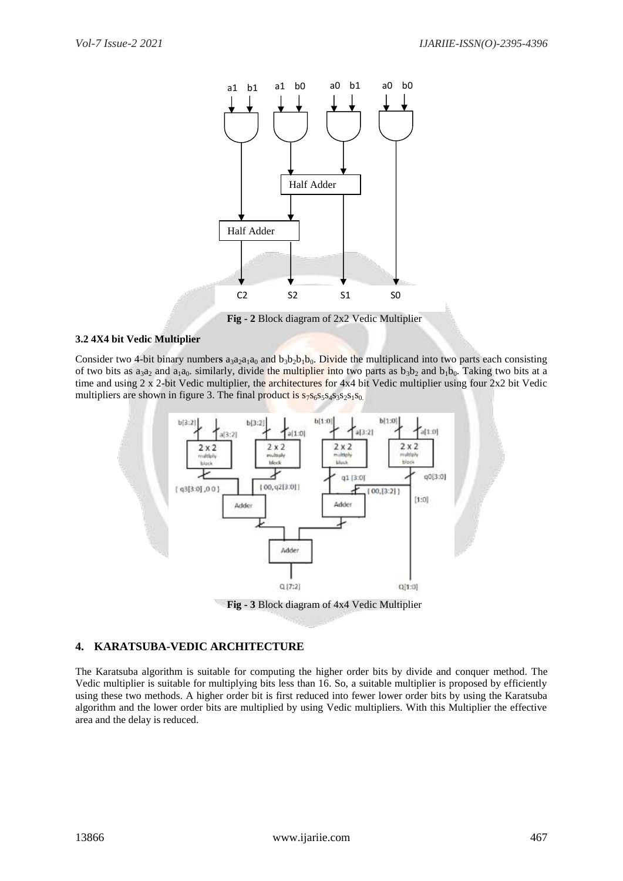

 **Fig - 2** Block diagram of 2x2 Vedic Multiplier

#### **3.2 4X4 bit Vedic Multiplier**

Consider two 4-bit binary numbers  $a_3a_2a_1a_0$  and  $b_3b_2b_1b_0$ . Divide the multiplicand into two parts each consisting of two bits as  $a_3a_2$  and  $a_1a_0$ . similarly, divide the multiplier into two parts as  $b_3b_2$  and  $b_1b_0$ . Taking two bits at a time and using 2 x 2-bit Vedic multiplier, the architectures for 4x4 bit Vedic multiplier using four 2x2 bit Vedic multipliers are shown in figure 3. The final product is  $s_7s_6s_5s_4s_3s_2s_1s_0$ .



 **Fig - 3** Block diagram of 4x4 Vedic Multiplier

#### **4. KARATSUBA-VEDIC ARCHITECTURE**

The Karatsuba algorithm is suitable for computing the higher order bits by divide and conquer method. The Vedic multiplier is suitable for multiplying bits less than 16. So, a suitable multiplier is proposed by efficiently using these two methods. A higher order bit is first reduced into fewer lower order bits by using the Karatsuba algorithm and the lower order bits are multiplied by using Vedic multipliers. With this Multiplier the effective area and the delay is reduced.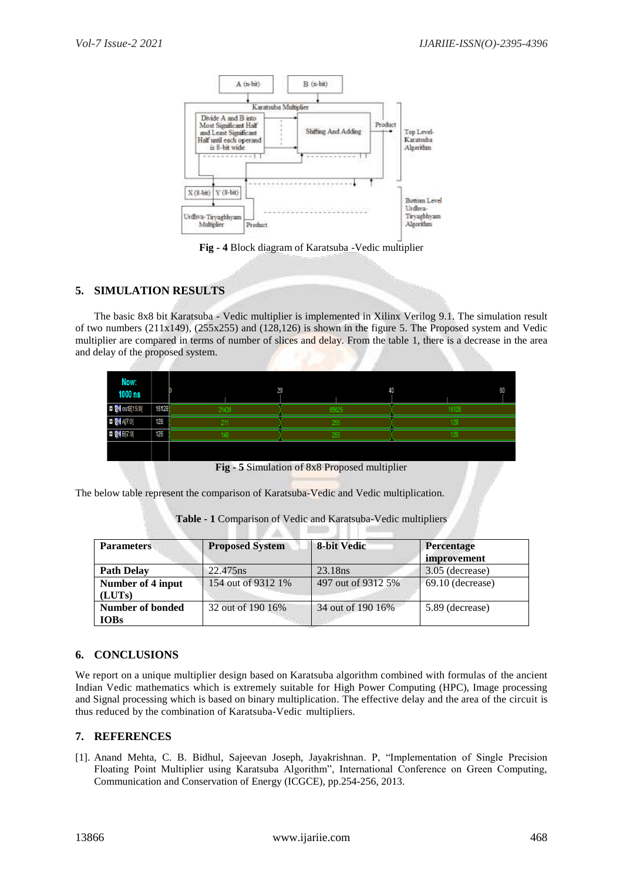

**Fig - 4** Block diagram of Karatsuba -Vedic multiplier

## **5. SIMULATION RESULTS**

The basic 8x8 bit Karatsuba - Vedic multiplier is implemented in Xilinx Verilog 9.1. The simulation result of two numbers  $(211x149)$ ,  $(255x255)$  and  $(128,126)$  is shown in the figure 5. The Proposed system and Vedic multiplier are compared in terms of number of slices and delay. From the table 1, there is a decrease in the area and delay of the proposed system.

| Now:<br>00 ns  |       | 20    | <br>ч. | 60   |
|----------------|-------|-------|--------|------|
| HOT I F N<br>Ŧ | 16128 | 31439 | 65025  | 6128 |
|                | 128   |       | 255    |      |
| - -            | 126   |       | 255    |      |
|                |       |       |        |      |

**Fig - 5** Simulation of 8x8 Proposed multiplier

The below table represent the comparison of Karatsuba-Vedic and Vedic multiplication.

| <b>Table - 1</b> Comparison of Vedic and Karatsuba-Vedic multipliers |
|----------------------------------------------------------------------|
|                                                                      |

| <b>Parameters</b>               | <b>Proposed System</b> | 8-bit Vedic         | <b>Percentage</b><br>improvement |
|---------------------------------|------------------------|---------------------|----------------------------------|
| <b>Path Delay</b>               | 22.475 ns              | 23.18 <sub>ns</sub> | 3.05 (decrease)                  |
| Number of 4 input<br>(LUTs)     | 154 out of 9312 1\%    | 497 out of 9312 5%  | $69.10$ (decrease)               |
| Number of bonded<br><b>IOBs</b> | 32 out of 190 16%      | 34 out of 190 16\%  | 5.89 (decrease)                  |

## **6. CONCLUSIONS**

We report on a unique multiplier design based on Karatsuba algorithm combined with formulas of the ancient Indian Vedic mathematics which is extremely suitable for High Power Computing (HPC), Image processing and Signal processing which is based on binary multiplication. The effective delay and the area of the circuit is thus reduced by the combination of Karatsuba-Vedic multipliers.

#### **7. REFERENCES**

[1]. Anand Mehta, C. B. Bidhul, Sajeevan Joseph, Jayakrishnan. P, "Implementation of Single Precision Floating Point Multiplier using Karatsuba Algorithm", International Conference on Green Computing, Communication and Conservation of Energy (ICGCE), pp.254-256, 2013.